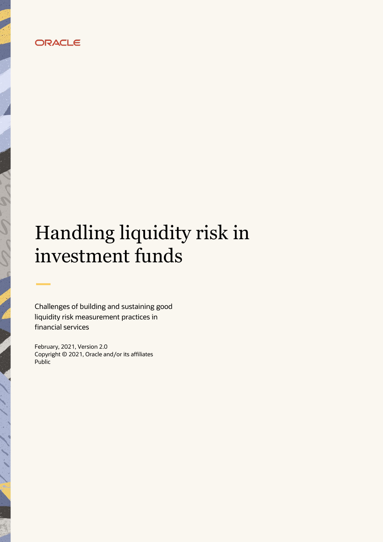# ORACLE

# Handling liquidity risk in investment funds

Challenges of building and sustaining good liquidity risk measurement practices in financial services

February, 2021, Version 2.0 Copyright © 2021, Oracle and/or its affiliates Public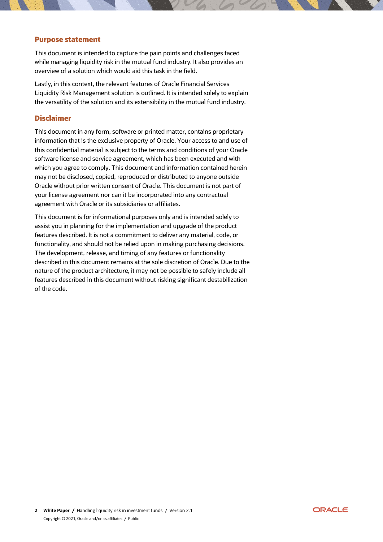#### <span id="page-1-0"></span>**Purpose statement**

This document is intended to capture the pain points and challenges faced while managing liquidity risk in the mutual fund industry. It also provides an overview of a solution which would aid this task in the field.

Lastly, in this context, the relevant features of Oracle Financial Services Liquidity Risk Management solution is outlined. It is intended solely to explain the versatility of the solution and its extensibility in the mutual fund industry.

#### <span id="page-1-1"></span>**Disclaimer**

This document in any form, software or printed matter, contains proprietary information that is the exclusive property of Oracle. Your access to and use of this confidential material is subject to the terms and conditions of your Oracle software license and service agreement, which has been executed and with which you agree to comply. This document and information contained herein may not be disclosed, copied, reproduced or distributed to anyone outside Oracle without prior written consent of Oracle. This document is not part of your license agreement nor can it be incorporated into any contractual agreement with Oracle or its subsidiaries or affiliates.

This document is for informational purposes only and is intended solely to assist you in planning for the implementation and upgrade of the product features described. It is not a commitment to deliver any material, code, or functionality, and should not be relied upon in making purchasing decisions. The development, release, and timing of any features or functionality described in this document remains at the sole discretion of Oracle. Due to the nature of the product architecture, it may not be possible to safely include all features described in this document without risking significant destabilization of the code.

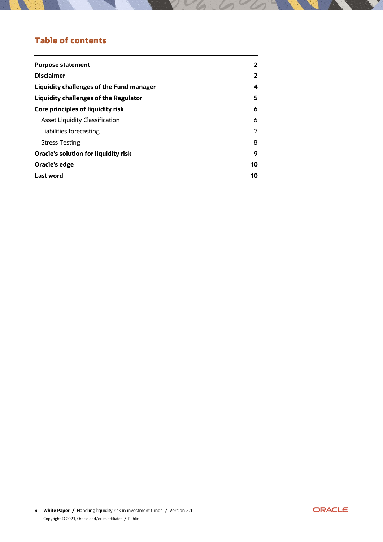# **Table of contents**

| <b>Purpose statement</b>                 | 2  |
|------------------------------------------|----|
| <b>Disclaimer</b>                        | 2  |
| Liquidity challenges of the Fund manager | 4  |
| Liquidity challenges of the Regulator    | 5  |
| Core principles of liquidity risk        | 6  |
| Asset Liquidity Classification           | 6  |
| Liabilities forecasting                  | 7  |
| <b>Stress Testing</b>                    | 8  |
| Oracle's solution for liquidity risk     | 9  |
| Oracle's edge                            | 10 |
| Last word                                | 10 |

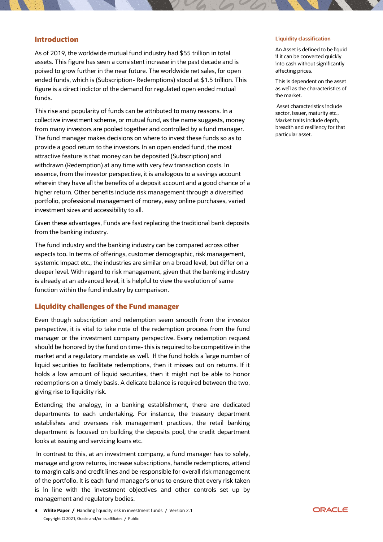#### **Introduction**

As of 2019, the worldwide mutual fund industry had \$55 trillion in total assets. This figure has seen a consistent increase in the past decade and is poised to grow further in the near future. The worldwide net sales, for open ended funds, which is (Subscription- Redemptions) stood at \$1.5 trillion. This figure is a direct indictor of the demand for regulated open ended mutual funds.

This rise and popularity of funds can be attributed to many reasons. In a collective investment scheme, or mutual fund, as the name suggests, money from many investors are pooled together and controlled by a fund manager. The fund manager makes decisions on where to invest these funds so as to provide a good return to the investors. In an open ended fund, the most attractive feature is that money can be deposited (Subscription) and withdrawn (Redemption) at any time with very few transaction costs. In essence, from the investor perspective, it is analogous to a savings account wherein they have all the benefits of a deposit account and a good chance of a higher return. Other benefits include risk management through a diversified portfolio, professional management of money, easy online purchases, varied investment sizes and accessibility to all.

Given these advantages, Funds are fast replacing the traditional bank deposits from the banking industry.

The fund industry and the banking industry can be compared across other aspects too. In terms of offerings, customer demographic, risk management, systemic impact etc., the industries are similar on a broad level, but differ on a deeper level. With regard to risk management, given that the banking industry is already at an advanced level, it is helpful to view the evolution of same function within the fund industry by comparison.

#### <span id="page-3-0"></span>**Liquidity challenges of the Fund manager**

Even though subscription and redemption seem smooth from the investor perspective, it is vital to take note of the redemption process from the fund manager or the investment company perspective. Every redemption request should be honored by the fund on time- this is required to be competitive in the market and a regulatory mandate as well. If the fund holds a large number of liquid securities to facilitate redemptions, then it misses out on returns. If it holds a low amount of liquid securities, then it might not be able to honor redemptions on a timely basis. A delicate balance is required between the two, giving rise to liquidity risk.

Extending the analogy, in a banking establishment, there are dedicated departments to each undertaking. For instance, the treasury department establishes and oversees risk management practices, the retail banking department is focused on building the deposits pool, the credit department looks at issuing and servicing loans etc.

In contrast to this, at an investment company, a fund manager has to solely, manage and grow returns, increase subscriptions, handle redemptions, attend to margin calls and credit lines and be responsible for overall risk management of the portfolio. It is each fund manager's onus to ensure that every risk taken is in line with the investment objectives and other controls set up by management and regulatory bodies.

#### **Liquidity classification**

An Asset is defined to be liquid if it can be converted quickly into cash without significantly affecting prices.

This is dependent on the asset as well as the characteristics of the market.

Asset characteristics include sector, issuer, maturity etc., Market traits include depth, breadth and resiliency for that particular asset.

**<sup>4</sup> White Paper /** Handling liquidity risk in investment funds / Version 2.1 Copyright © 2021, Oracle and/or its affiliates / Public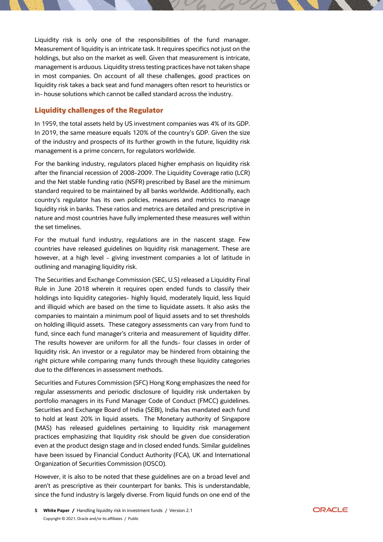Liquidity risk is only one of the responsibilities of the fund manager. Measurement of liquidity is an intricate task. It requires specifics not just on the holdings, but also on the market as well. Given that measurement is intricate, management is arduous. Liquidity stress testing practices have not taken shape in most companies. On account of all these challenges, good practices on liquidity risk takes a back seat and fund managers often resort to heuristics or in- house solutions which cannot be called standard across the industry.

### <span id="page-4-0"></span>**Liquidity challenges of the Regulator**

In 1959, the total assets held by US investment companies was 4% of its GDP. In 2019, the same measure equals 120% of the country's GDP. Given the size of the industry and prospects of its further growth in the future, liquidity risk management is a prime concern, for regulators worldwide.

For the banking industry, regulators placed higher emphasis on liquidity risk after the financial recession of 2008-2009. The Liquidity Coverage ratio (LCR) and the Net stable funding ratio (NSFR) prescribed by Basel are the minimum standard required to be maintained by all banks worldwide. Additionally, each country's regulator has its own policies, measures and metrics to manage liquidity risk in banks. These ratios and metrics are detailed and prescriptive in nature and most countries have fully implemented these measures well within the set timelines.

For the mutual fund industry, regulations are in the nascent stage. Few countries have released guidelines on liquidity risk management. These are however, at a high level - giving investment companies a lot of latitude in outlining and managing liquidity risk.

The Securities and Exchange Commission (SEC, U.S) released a Liquidity Final Rule in June 2018 wherein it requires open ended funds to classify their holdings into liquidity categories- highly liquid, moderately liquid, less liquid and illiquid which are based on the time to liquidate assets. It also asks the companies to maintain a minimum pool of liquid assets and to set thresholds on holding illiquid assets. These category assessments can vary from fund to fund, since each fund manager's criteria and measurement of liquidity differ. The results however are uniform for all the funds- four classes in order of liquidity risk. An investor or a regulator may be hindered from obtaining the right picture while comparing many funds through these liquidity categories due to the differences in assessment methods.

Securities and Futures Commission (SFC) Hong Kong emphasizes the need for regular assessments and periodic disclosure of liquidity risk undertaken by portfolio managers in its Fund Manager Code of Conduct (FMCC) guidelines. Securities and Exchange Board of India (SEBI), India has mandated each fund to hold at least 20% in liquid assets. The Monetary authority of Singapore (MAS) has released guidelines pertaining to liquidity risk management practices emphasizing that liquidity risk should be given due consideration even at the product design stage and in closed ended funds. Similar guidelines have been issued by Financial Conduct Authority (FCA), UK and International Organization of Securities Commission (IOSCO).

However, it is also to be noted that these guidelines are on a broad level and aren't as prescriptive as their counterpart for banks. This is understandable, since the fund industry is largely diverse. From liquid funds on one end of the

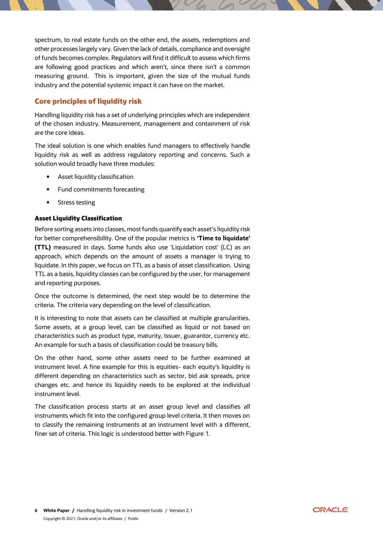spectrum, to real estate funds on the other end, the assets, redemptions and other processes largely vary. Given the lack of details, compliance and oversight of funds becomes complex. Regulators will find it difficult to assess which firms are following good practices and which aren't, since there isn't a common measuring ground. This is important, given the size of the mutual funds industry and the potential systemic impact it can have on the market.

# <span id="page-5-0"></span>**Core principles of liquidity risk**

Handling liquidity risk has a set of underlying principles which are independent of the chosen industry. Measurement, management and containment of risk are the core ideas.

The ideal solution is one which enables fund managers to effectively handle liquidity risk as well as address regulatory reporting and concerns. Such a solution would broadly have three modules:

- Asset liquidity classification
- Fund commitments forecasting
- Stress testing

### <span id="page-5-1"></span>**Asset Liquidity Classification**

Before sorting assets into classes, most funds quantify each asset's liquidity risk for better comprehensibility. One of the popular metrics is **'Time to liquidate' (TTL)** measured in days. Some funds also use 'Liquidation cost' (LC) as an approach, which depends on the amount of assets a manager is trying to liquidate. In this paper, we focus on TTL as a basis of asset classification. Using TTL as a basis, liquidity classes can be configured by the user, for management and reporting purposes.

Once the outcome is determined, the next step would be to determine the criteria. The criteria vary depending on the level of classification.

It is interesting to note that assets can be classified at multiple granularities. Some assets, at a group level, can be classified as liquid or not based on characteristics such as product type, maturity, issuer, guarantor, currency etc. An example for such a basis of classification could be treasury bills.

On the other hand, some other assets need to be further examined at instrument level. A fine example for this is equities- each equity's liquidity is different depending on characteristics such as sector, bid ask spreads, price changes etc. and hence its liquidity needs to be explored at the individual instrument level.

The classification process starts at an asset group level and classifies all instruments which fit into the configured group level criteria. It then moves on to classify the remaining instruments at an instrument level with a different, finer set of criteria. This logic is understood better with Figure 1.

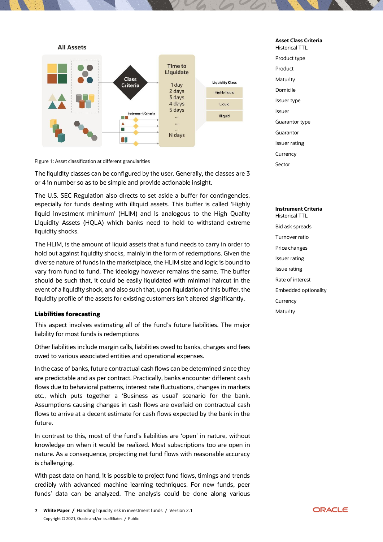

#### **Asset Class Criteria**

Historical TTL Product type Product **Maturity** Domicile Issuer type Issuer Guarantor type Guarantor Issuer rating **Currency** Sector

Figure 1: Asset classification at different granularities

The liquidity classes can be configured by the user. Generally, the classes are 3 or 4 in number so as to be simple and provide actionable insight.

The U.S. SEC Regulation also directs to set aside a buffer for contingencies, especially for funds dealing with illiquid assets. This buffer is called 'Highly liquid investment minimum' (HLIM) and is analogous to the High Quality Liquidity Assets (HQLA) which banks need to hold to withstand extreme liquidity shocks.

The HLIM, is the amount of liquid assets that a fund needs to carry in order to hold out against liquidity shocks, mainly in the form of redemptions. Given the diverse nature of funds in the marketplace, the HLIM size and logic is bound to vary from fund to fund. The ideology however remains the same. The buffer should be such that, it could be easily liquidated with minimal haircut in the event of a liquidity shock, and also such that, upon liquidation of this buffer, the liquidity profile of the assets for existing customers isn't altered significantly.

#### <span id="page-6-0"></span>**Liabilities forecasting**

This aspect involves estimating all of the fund's future liabilities. The major liability for most funds is redemptions

Other liabilities include margin calls, liabilities owed to banks, charges and fees owed to various associated entities and operational expenses.

In the case of banks, future contractual cash flows can be determined since they are predictable and as per contract. Practically, banks encounter different cash flows due to behavioral patterns, interest rate fluctuations, changes in markets etc., which puts together a 'Business as usual' scenario for the bank. Assumptions causing changes in cash flows are overlaid on contractual cash flows to arrive at a decent estimate for cash flows expected by the bank in the future.

In contrast to this, most of the fund's liabilities are 'open' in nature, without knowledge on when it would be realized. Most subscriptions too are open in nature. As a consequence, projecting net fund flows with reasonable accuracy is challenging.

With past data on hand, it is possible to project fund flows, timings and trends credibly with advanced machine learning techniques. For new funds, peer funds' data can be analyzed. The analysis could be done along various

#### **Instrument Criteria** Historical TTL

Bid ask spreads Turnover ratio Price changes Issuer rating Issue rating Rate of interest Embedded optionality **Currency Maturity** 

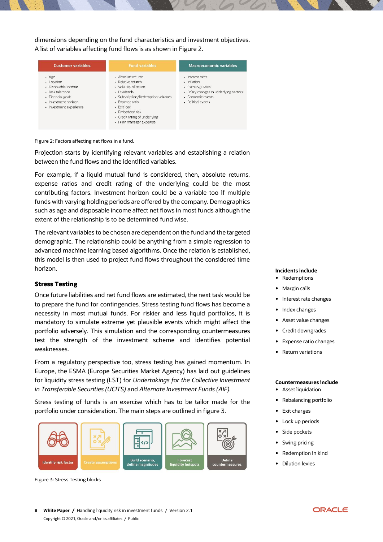dimensions depending on the fund characteristics and investment objectives. A list of variables affecting fund flows is as shown in Figure 2.



Figure 2: Factors affecting net flows in a fund.

Projection starts by identifying relevant variables and establishing a relation between the fund flows and the identified variables.

For example, if a liquid mutual fund is considered, then, absolute returns, expense ratios and credit rating of the underlying could be the most contributing factors. Investment horizon could be a variable too if multiple funds with varying holding periods are offered by the company. Demographics such as age and disposable income affect net flows in most funds although the extent of the relationship is to be determined fund wise.

The relevant variables to be chosen are dependent on the fund and the targeted demographic. The relationship could be anything from a simple regression to advanced machine learning based algorithms. Once the relation is established, this model is then used to project fund flows throughout the considered time horizon.

#### <span id="page-7-0"></span>**Stress Testing**

Once future liabilities and net fund flows are estimated, the next task would be to prepare the fund for contingencies. Stress testing fund flows has become a necessity in most mutual funds. For riskier and less liquid portfolios, it is mandatory to simulate extreme yet plausible events which might affect the portfolio adversely. This simulation and the corresponding countermeasures test the strength of the investment scheme and identifies potential weaknesses.

From a regulatory perspective too, stress testing has gained momentum. In Europe, the ESMA (Europe Securities Market Agency) has laid out guidelines for liquidity stress testing (LST) for *Undertakings for the Collective Investment in Transferable Securities (UCITS)* and *Alternate Investment Funds (AIF).*

Stress testing of funds is an exercise which has to be tailor made for the portfolio under consideration. The main steps are outlined in figure 3.



Figure 3: Stress Testing blocks

#### **Incidents include**

- Redemptions
- Margin calls
- Interest rate changes
- Index changes
- Asset value changes
- Credit downgrades
- Expense ratio changes
- Return variations

#### **Countermeasures include**

- **•** Asset liquidation
- Rebalancing portfolio
- Exit charges
- Lock up periods
- Side pockets
- Swing pricing
- Redemption in kind
- Dilution levies

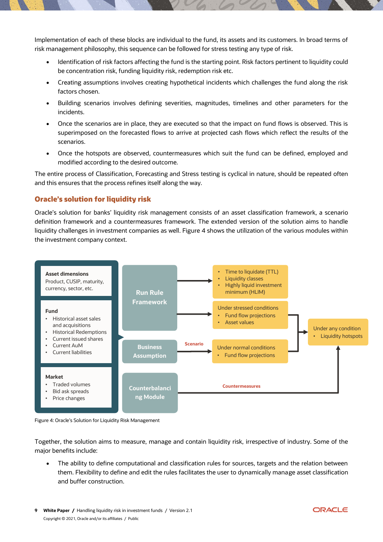Implementation of each of these blocks are individual to the fund, its assets and its customers. In broad terms of risk management philosophy, this sequence can be followed for stress testing any type of risk.

- Identification of risk factors affecting the fund is the starting point. Risk factors pertinent to liquidity could be concentration risk, funding liquidity risk, redemption risk etc.
- Creating assumptions involves creating hypothetical incidents which challenges the fund along the risk factors chosen.
- Building scenarios involves defining severities, magnitudes, timelines and other parameters for the incidents.
- Once the scenarios are in place, they are executed so that the impact on fund flows is observed. This is superimposed on the forecasted flows to arrive at projected cash flows which reflect the results of the scenarios.
- Once the hotspots are observed, countermeasures which suit the fund can be defined, employed and modified according to the desired outcome.

The entire process of Classification, Forecasting and Stress testing is cyclical in nature, should be repeated often and this ensures that the process refines itself along the way.

## <span id="page-8-0"></span>**Oracle's solution for liquidity risk**

Oracle's solution for banks' liquidity risk management consists of an asset classification framework, a scenario definition framework and a countermeasures framework. The extended version of the solution aims to handle liquidity challenges in investment companies as well. Figure 4 shows the utilization of the various modules within the investment company context.





Together, the solution aims to measure, manage and contain liquidity risk, irrespective of industry. Some of the major benefits include:

 The ability to define computational and classification rules for sources, targets and the relation between them. Flexibility to define and edit the rules facilitates the user to dynamically manage asset classification and buffer construction.

**9 White Paper /** Handling liquidity risk in investment funds / Version 2.1 Copyright © 2021, Oracle and/or its affiliates / Public

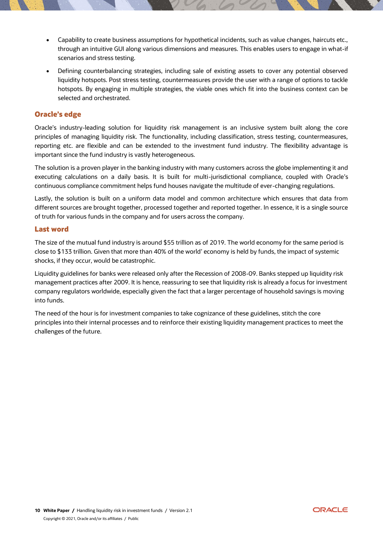- Capability to create business assumptions for hypothetical incidents, such as value changes, haircuts etc., through an intuitive GUI along various dimensions and measures. This enables users to engage in what-if scenarios and stress testing.
- Defining counterbalancing strategies, including sale of existing assets to cover any potential observed liquidity hotspots. Post stress testing, countermeasures provide the user with a range of options to tackle hotspots. By engaging in multiple strategies, the viable ones which fit into the business context can be selected and orchestrated.

## <span id="page-9-0"></span>**Oracle's edge**

Oracle's industry-leading solution for liquidity risk management is an inclusive system built along the core principles of managing liquidity risk. The functionality, including classification, stress testing, countermeasures, reporting etc. are flexible and can be extended to the investment fund industry. The flexibility advantage is important since the fund industry is vastly heterogeneous.

The solution is a proven player in the banking industry with many customers across the globe implementing it and executing calculations on a daily basis. It is built for multi-jurisdictional compliance, coupled with Oracle's continuous compliance commitment helps fund houses navigate the multitude of ever-changing regulations.

Lastly, the solution is built on a uniform data model and common architecture which ensures that data from different sources are brought together, processed together and reported together. In essence, it is a single source of truth for various funds in the company and for users across the company.

#### <span id="page-9-1"></span>**Last word**

The size of the mutual fund industry is around \$55 trillion as of 2019. The world economy for the same period is close to \$133 trillion. Given that more than 40% of the world' economy is held by funds, the impact of systemic shocks, if they occur, would be catastrophic.

Liquidity guidelines for banks were released only after the Recession of 2008-09. Banks stepped up liquidity risk management practices after 2009. It is hence, reassuring to see that liquidity risk is already a focus for investment company regulators worldwide, especially given the fact that a larger percentage of household savings is moving into funds.

The need of the hour is for investment companies to take cognizance of these guidelines, stitch the core principles into their internal processes and to reinforce their existing liquidity management practices to meet the challenges of the future.